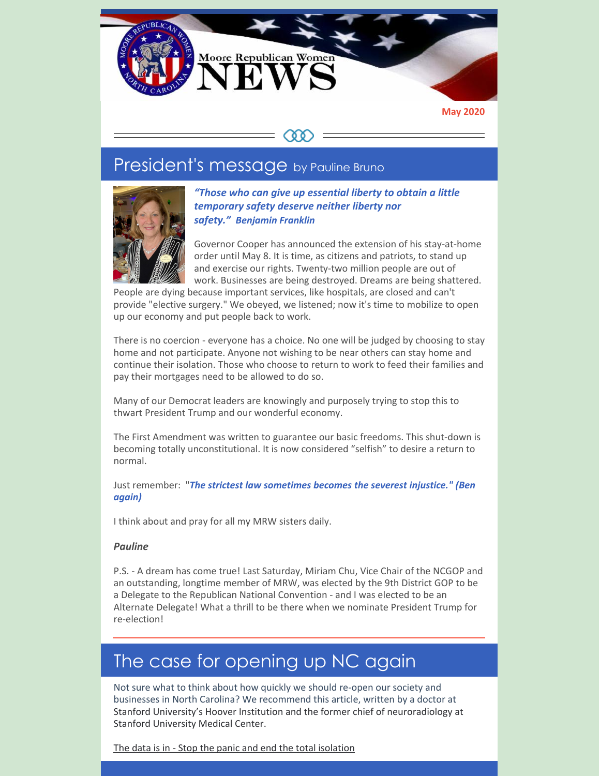

#### **May 2020**

### COO

# President's message by Pauline Bruno



*"Those who can give up essential liberty to obtain a little temporary safety deserve neither liberty nor safety." Benjamin Franklin*

Governor Cooper has announced the extension of his stay-at-home order until May 8. It is time, as citizens and patriots, to stand up and exercise our rights. Twenty-two million people are out of work. Businesses are being destroyed. Dreams are being shattered.

People are dying because important services, like hospitals, are closed and can't provide "elective surgery." We obeyed, we listened; now it's time to mobilize to open up our economy and put people back to work.

There is no coercion - everyone has a choice. No one will be judged by choosing to stay home and not participate. Anyone not wishing to be near others can stay home and continue their isolation. Those who choose to return to work to feed their families and pay their mortgages need to be allowed to do so.

Many of our Democrat leaders are knowingly and purposely trying to stop this to thwart President Trump and our wonderful economy.

The First Amendment was written to guarantee our basic freedoms. This shut-down is becoming totally unconstitutional. It is now considered "selfish" to desire a return to normal.

Just remember: "*The strictest law sometimes becomes the severest injustice." (Ben again)*

I think about and pray for all my MRW sisters daily.

#### *Pauline*

P.S. - A dream has come true! Last Saturday, Miriam Chu, Vice Chair of the NCGOP and an outstanding, longtime member of MRW, was elected by the 9th District GOP to be a Delegate to the Republican National Convention - and I was elected to be an Alternate Delegate! What a thrill to be there when we nominate President Trump for re-election!

# The case for opening up NC again

Not sure what to think about how quickly we should re-open our society and businesses in North Carolina? We recommend this article, written by a doctor at Stanford University's Hoover Institution and the former chief of neuroradiology at Stanford University Medical Center.

The data is in - Stop the panic and end the total [isolation](https://thehill.com/opinion/healthcare/494034-the-data-are-in-stop-the-panic-and-end-the-total-isolation)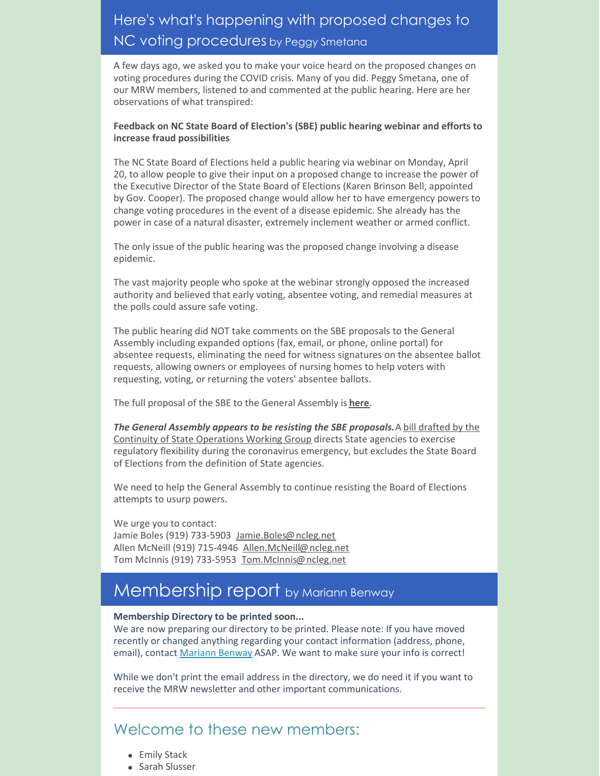## Here's what's happening with proposed changes to NC voting procedures by Peggy Smetana

A few days ago, we asked you to make your voice heard on the proposed changes on voting procedures during the COVID crisis. Many of you did. Peggy Smetana, one of our MRW members, listened to and commented at the public hearing. Here are her observations of what transpired:

#### **Feedback on NC State Board of Election's (SBE) public hearing webinar and efforts to increase fraud possibilities**

The NC State Board of Elections held a public hearing via webinar on Monday, April 20, to allow people to give their input on a proposed change to increase the power of the Executive Director of the State Board of Elections (Karen Brinson Bell, appointed by Gov. Cooper). The proposed change would allow her to have emergency powers to change voting procedures in the event of a disease epidemic. She already has the power in case of a natural disaster, extremely inclement weather or armed conflict.

The only issue of the public hearing was the proposed change involving a disease epidemic.

The vast majority people who spoke at the webinar strongly opposed the increased authority and believed that early voting, absentee voting, and remedial measures at the polls could assure safe voting.

The public hearing did NOT take comments on the SBE proposals to the General Assembly including expanded options (fax, email, or phone, online portal) for absentee requests, eliminating the need for witness signatures on the absentee ballot requests, allowing owners or employees of nursing homes to help voters with requesting, voting, or returning the voters' absentee ballots.

The full proposal of the SBE to the General Assembly is **[here](https://files.constantcontact.com/30571cb6701/40f08f00-a216-4135-8993-800cad3372e5.pdf)**.

*The General Assembly appears to be resisting the SBE [proposals.](https://ncleg.gov/documentsites/committees/house2019-199/Continuity of State Operations Working Group/4-21-20/2019  -STfzp-Bill summary.pdf)*A bill drafted by the Continuity of State Operations Working Group directs State agencies to exercise regulatory flexibility during the coronavirus emergency, but excludes the State Board of Elections from the definition of State agencies.

We need to help the General Assembly to continue resisting the Board of Elections attempts to usurp powers.

We urge you to contact: Jamie Boles (919) 733-5903 [Jamie.Boles@ncleg.net](mailto:Jamie.Boles@ncleg.net) Allen McNeill (919) 715-4946 [Allen.McNeill@ncleg.net](mailto:Allen.McNeill@ncleg.net) Tom McInnis (919) 733-5953 [Tom.McInnis@ncleg.net](mailto:Tom.McInnis@ncleg.net)

# Membership report by Mariann Benway

#### **Membership Directory to be printed soon...**

We are now preparing our directory to be printed. Please note: If you have moved recently or changed anything regarding your contact information (address, phone, email), contact [Mariann](mailto:mariannbenway@me.com) Benway ASAP. We want to make sure your info is correct!

While we don't print the email address in the directory, we do need it if you want to receive the MRW newsletter and other important communications.

## Welcome to these new members:

- Emily Stack
- **Sarah Slusser**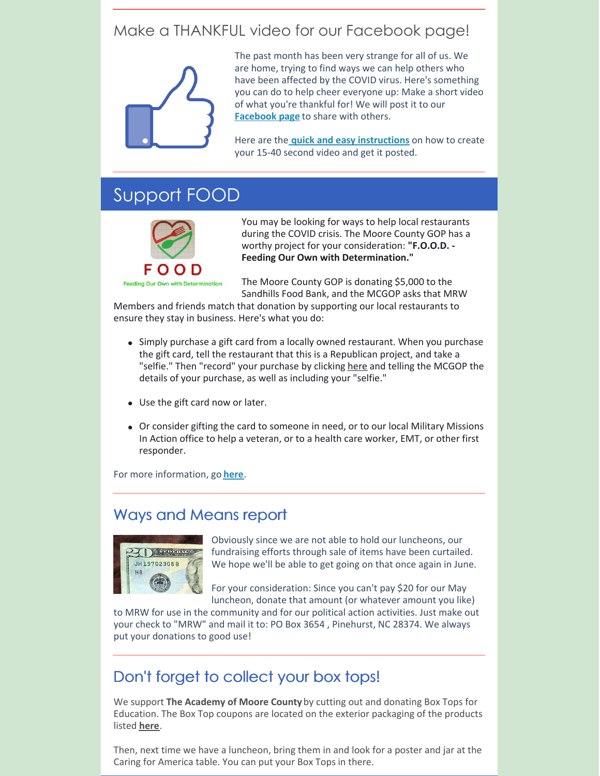## Make a THANKFUL video for our Facebook page!



The past month has been very strange for all of us. We are home, trying to find ways we can help others who have been affected by the COVID virus. Here's something you can do to help cheer everyone up: Make a short video of what you're thankful for! We will post it to our **[Facebook](https://www.facebook.com/www.mrwnc.org/) page** to share with others.

Here are the **quick and easy [instructions](https://files.constantcontact.com/30571cb6701/59139cbe-7e7c-436c-8e37-eb02963f57e6.pdf)** on how to create your 15-40 second video and get it posted.

## Support FOOD



You may be looking for ways to help local restaurants during the COVID crisis. The Moore County GOP has a worthy project for your consideration: **"F.O.O.D. - Feeding Our Own with Determination."**

The Moore County GOP is donating \$5,000 to the Sandhills Food Bank, and the MCGOP asks that MRW

Members and friends match that donation by supporting our local restaurants to ensure they stay in business. Here's what you do:

- Simply purchase a gift card from a locally owned restaurant. When you purchase the gift card, tell the restaurant that this is a Republican project, and take a "selfie." Then "record" your purchase by clicking [here](https://mcgopnc.wufoo.com/forms/phnlwm811aacpg/) and telling the MCGOP the details of your purchase, as well as including your "selfie."
- Use the gift card now or later.
- Or consider gifting the card to someone in need, or to our local Military Missions In Action office to help a veteran, or to a health care worker, EMT, or other first responder.

For more information, go **[here](https://moore.nc.gop/food_program)**.

### Ways and Means report



Obviously since we are not able to hold our luncheons, our fundraising efforts through sale of items have been curtailed. We hope we'll be able to get going on that once again in June.

For your consideration: Since you can't pay \$20 for our May luncheon, donate that amount (or whatever amount you like)

to MRW for use in the community and for our political action activities. Just make out your check to "MRW" and mail it to: PO Box 3654 , Pinehurst, NC 28374. We always put your donations to good use!

### Don't forget to collect your box tops!

We support **The Academy of Moore County**by cutting out and donating Box Tops for Education. The Box Top coupons are located on the exterior packaging of the products listed **[here](https://files.constantcontact.com/30571cb6701/df41b08e-5be3-4a62-982f-66e5a88069f3.pdf)**.

Then, next time we have a luncheon, bring them in and look for a poster and jar at the Caring for America table. You can put your Box Tops in there.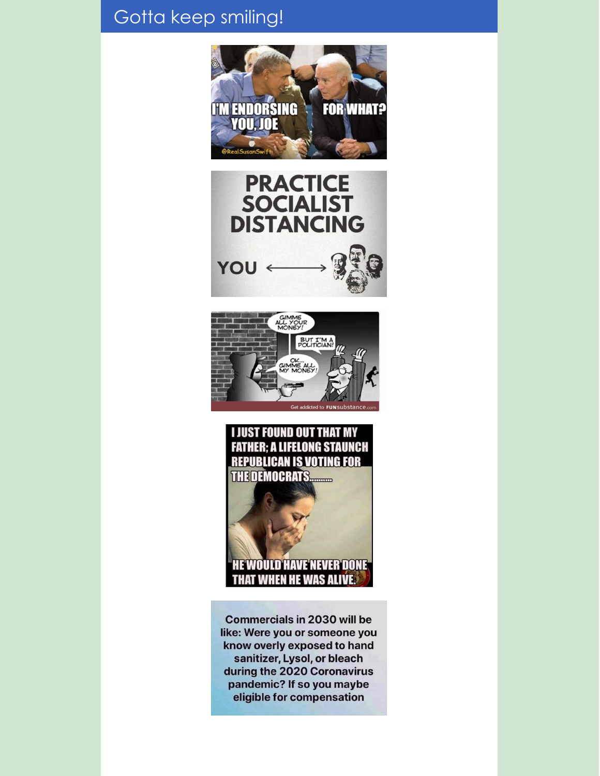# Gotta keep smiling!









**Commercials in 2030 will be** like: Were you or someone you know overly exposed to hand sanitizer, Lysol, or bleach during the 2020 Coronavirus pandemic? If so you maybe eligible for compensation